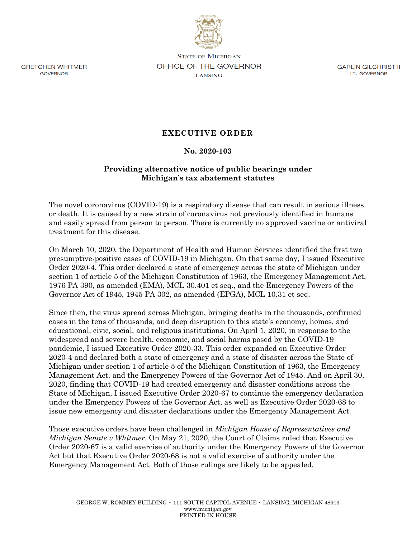

**GRETCHEN WHITMER** GOVERNOR

**STATE OF MICHIGAN OFFICE OF THE GOVERNOR LANSING** 

GARLIN GILCHRIST II LT. GOVERNOR

## **EXECUTIVE ORDER**

## **No. 2020-103**

## **Providing alternative notice of public hearings under Michigan's tax abatement statutes**

The novel coronavirus (COVID-19) is a respiratory disease that can result in serious illness or death. It is caused by a new strain of coronavirus not previously identified in humans and easily spread from person to person. There is currently no approved vaccine or antiviral treatment for this disease.

On March 10, 2020, the Department of Health and Human Services identified the first two presumptive-positive cases of COVID-19 in Michigan. On that same day, I issued Executive Order 2020-4. This order declared a state of emergency across the state of Michigan under section 1 of article 5 of the Michigan Constitution of 1963, the Emergency Management Act, 1976 PA 390, as amended (EMA), MCL 30.401 et seq., and the Emergency Powers of the Governor Act of 1945, 1945 PA 302, as amended (EPGA), MCL 10.31 et seq.

Since then, the virus spread across Michigan, bringing deaths in the thousands, confirmed cases in the tens of thousands, and deep disruption to this state's economy, homes, and educational, civic, social, and religious institutions. On April 1, 2020, in response to the widespread and severe health, economic, and social harms posed by the COVID-19 pandemic, I issued Executive Order 2020-33. This order expanded on Executive Order 2020-4 and declared both a state of emergency and a state of disaster across the State of Michigan under section 1 of article 5 of the Michigan Constitution of 1963, the Emergency Management Act, and the Emergency Powers of the Governor Act of 1945. And on April 30, 2020, finding that COVID-19 had created emergency and disaster conditions across the State of Michigan, I issued Executive Order 2020-67 to continue the emergency declaration under the Emergency Powers of the Governor Act, as well as Executive Order 2020-68 to issue new emergency and disaster declarations under the Emergency Management Act.

Those executive orders have been challenged in *Michigan House of Representatives and Michigan Senate v Whitmer*. On May 21, 2020, the Court of Claims ruled that Executive Order 2020-67 is a valid exercise of authority under the Emergency Powers of the Governor Act but that Executive Order 2020-68 is not a valid exercise of authority under the Emergency Management Act. Both of those rulings are likely to be appealed.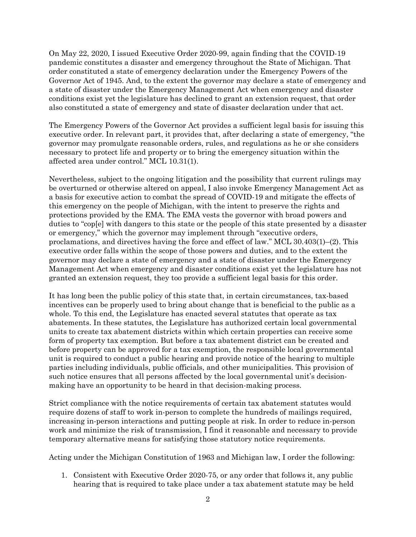On May 22, 2020, I issued Executive Order 2020-99, again finding that the COVID-19 pandemic constitutes a disaster and emergency throughout the State of Michigan. That order constituted a state of emergency declaration under the Emergency Powers of the Governor Act of 1945. And, to the extent the governor may declare a state of emergency and a state of disaster under the Emergency Management Act when emergency and disaster conditions exist yet the legislature has declined to grant an extension request, that order also constituted a state of emergency and state of disaster declaration under that act.

The Emergency Powers of the Governor Act provides a sufficient legal basis for issuing this executive order. In relevant part, it provides that, after declaring a state of emergency, "the governor may promulgate reasonable orders, rules, and regulations as he or she considers necessary to protect life and property or to bring the emergency situation within the affected area under control." MCL 10.31(1).

Nevertheless, subject to the ongoing litigation and the possibility that current rulings may be overturned or otherwise altered on appeal, I also invoke Emergency Management Act as a basis for executive action to combat the spread of COVID-19 and mitigate the effects of this emergency on the people of Michigan, with the intent to preserve the rights and protections provided by the EMA. The EMA vests the governor with broad powers and duties to "cop[e] with dangers to this state or the people of this state presented by a disaster or emergency," which the governor may implement through "executive orders, proclamations, and directives having the force and effect of law." MCL 30.403(1)–(2). This executive order falls within the scope of those powers and duties, and to the extent the governor may declare a state of emergency and a state of disaster under the Emergency Management Act when emergency and disaster conditions exist yet the legislature has not granted an extension request, they too provide a sufficient legal basis for this order.

It has long been the public policy of this state that, in certain circumstances, tax-based incentives can be properly used to bring about change that is beneficial to the public as a whole. To this end, the Legislature has enacted several statutes that operate as tax abatements. In these statutes, the Legislature has authorized certain local governmental units to create tax abatement districts within which certain properties can receive some form of property tax exemption. But before a tax abatement district can be created and before property can be approved for a tax exemption, the responsible local governmental unit is required to conduct a public hearing and provide notice of the hearing to multiple parties including individuals, public officials, and other municipalities. This provision of such notice ensures that all persons affected by the local governmental unit's decisionmaking have an opportunity to be heard in that decision-making process.

Strict compliance with the notice requirements of certain tax abatement statutes would require dozens of staff to work in-person to complete the hundreds of mailings required, increasing in-person interactions and putting people at risk. In order to reduce in-person work and minimize the risk of transmission, I find it reasonable and necessary to provide temporary alternative means for satisfying those statutory notice requirements.

Acting under the Michigan Constitution of 1963 and Michigan law, I order the following:

1. Consistent with Executive Order 2020-75, or any order that follows it, any public hearing that is required to take place under a tax abatement statute may be held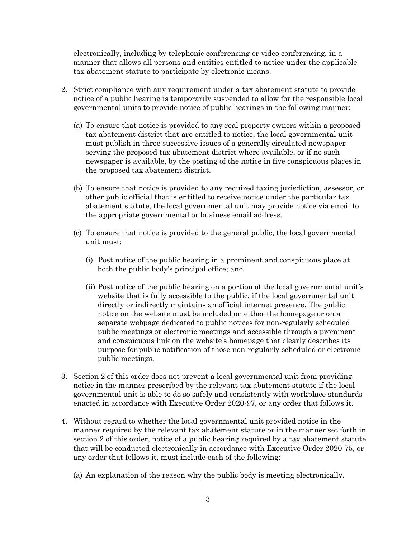electronically, including by telephonic conferencing or video conferencing, in a manner that allows all persons and entities entitled to notice under the applicable tax abatement statute to participate by electronic means.

- 2. Strict compliance with any requirement under a tax abatement statute to provide notice of a public hearing is temporarily suspended to allow for the responsible local governmental units to provide notice of public hearings in the following manner:
	- (a) To ensure that notice is provided to any real property owners within a proposed tax abatement district that are entitled to notice, the local governmental unit must publish in three successive issues of a generally circulated newspaper serving the proposed tax abatement district where available, or if no such newspaper is available, by the posting of the notice in five conspicuous places in the proposed tax abatement district.
	- (b) To ensure that notice is provided to any required taxing jurisdiction, assessor, or other public official that is entitled to receive notice under the particular tax abatement statute, the local governmental unit may provide notice via email to the appropriate governmental or business email address.
	- (c) To ensure that notice is provided to the general public, the local governmental unit must:
		- (i) Post notice of the public hearing in a prominent and conspicuous place at both the public body's principal office; and
		- (ii) Post notice of the public hearing on a portion of the local governmental unit's website that is fully accessible to the public, if the local governmental unit directly or indirectly maintains an official internet presence. The public notice on the website must be included on either the homepage or on a separate webpage dedicated to public notices for non-regularly scheduled public meetings or electronic meetings and accessible through a prominent and conspicuous link on the website's homepage that clearly describes its purpose for public notification of those non-regularly scheduled or electronic public meetings.
- 3. Section 2 of this order does not prevent a local governmental unit from providing notice in the manner prescribed by the relevant tax abatement statute if the local governmental unit is able to do so safely and consistently with workplace standards enacted in accordance with Executive Order 2020-97, or any order that follows it.
- 4. Without regard to whether the local governmental unit provided notice in the manner required by the relevant tax abatement statute or in the manner set forth in section 2 of this order, notice of a public hearing required by a tax abatement statute that will be conducted electronically in accordance with Executive Order 2020-75, or any order that follows it, must include each of the following:
	- (a) An explanation of the reason why the public body is meeting electronically.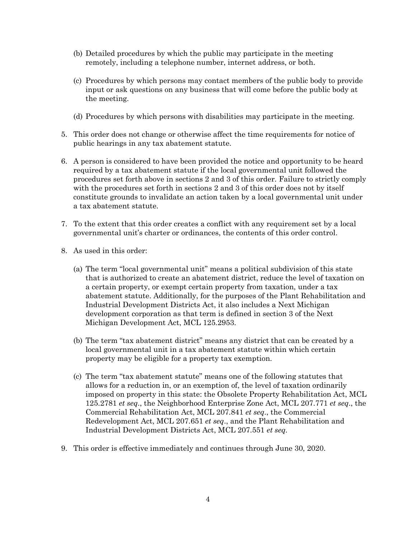- (b) Detailed procedures by which the public may participate in the meeting remotely, including a telephone number, internet address, or both.
- (c) Procedures by which persons may contact members of the public body to provide input or ask questions on any business that will come before the public body at the meeting.
- (d) Procedures by which persons with disabilities may participate in the meeting.
- 5. This order does not change or otherwise affect the time requirements for notice of public hearings in any tax abatement statute.
- 6. A person is considered to have been provided the notice and opportunity to be heard required by a tax abatement statute if the local governmental unit followed the procedures set forth above in sections 2 and 3 of this order. Failure to strictly comply with the procedures set forth in sections 2 and 3 of this order does not by itself constitute grounds to invalidate an action taken by a local governmental unit under a tax abatement statute.
- 7. To the extent that this order creates a conflict with any requirement set by a local governmental unit's charter or ordinances, the contents of this order control.
- 8. As used in this order:
	- (a) The term "local governmental unit" means a political subdivision of this state that is authorized to create an abatement district, reduce the level of taxation on a certain property, or exempt certain property from taxation, under a tax abatement statute. Additionally, for the purposes of the Plant Rehabilitation and Industrial Development Districts Act, it also includes a Next Michigan development corporation as that term is defined in section 3 of the Next Michigan Development Act, MCL 125.2953.
	- (b) The term "tax abatement district" means any district that can be created by a local governmental unit in a tax abatement statute within which certain property may be eligible for a property tax exemption.
	- (c) The term "tax abatement statute" means one of the following statutes that allows for a reduction in, or an exemption of, the level of taxation ordinarily imposed on property in this state: the Obsolete Property Rehabilitation Act, MCL 125.2781 *et seq*., the Neighborhood Enterprise Zone Act, MCL 207.771 *et seq*., the Commercial Rehabilitation Act, MCL 207.841 *et seq*., the Commercial Redevelopment Act, MCL 207.651 *et seq*., and the Plant Rehabilitation and Industrial Development Districts Act, MCL 207.551 *et seq*.
- 9. This order is effective immediately and continues through June 30, 2020.